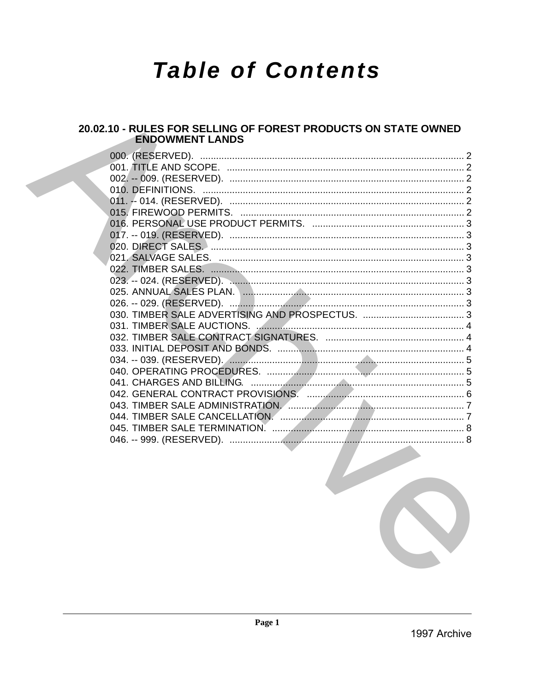# **Table of Contents**

# 20.02.10 - RULES FOR SELLING OF FOREST PRODUCTS ON STATE OWNED **ENDOWMENT LANDS**

| 000. (RESERVED). |  |
|------------------|--|
|                  |  |
|                  |  |
|                  |  |
|                  |  |
|                  |  |
|                  |  |
|                  |  |
|                  |  |
|                  |  |
|                  |  |
|                  |  |
|                  |  |
|                  |  |
|                  |  |
|                  |  |
|                  |  |
|                  |  |
|                  |  |
|                  |  |
|                  |  |
|                  |  |
|                  |  |
|                  |  |
|                  |  |
|                  |  |
|                  |  |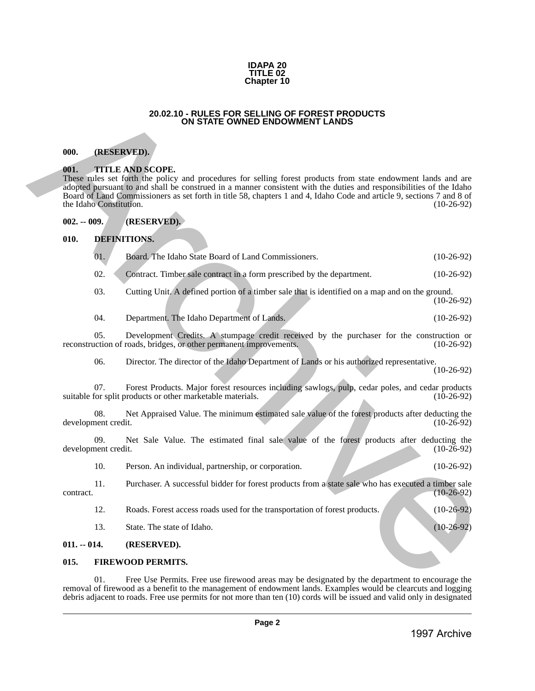#### **IDAPA 20 TITLE 02 Chapter 10**

#### **20.02.10 - RULES FOR SELLING OF FOREST PRODUCTS ON STATE OWNED ENDOWMENT LANDS**

#### <span id="page-1-1"></span>**000. (RESERVED).**

#### <span id="page-1-2"></span>**001. TITLE AND SCOPE.**

# <span id="page-1-3"></span>**002. -- 009. (RESERVED).**

# <span id="page-1-6"></span><span id="page-1-5"></span><span id="page-1-4"></span>**010. DEFINITIONS.**

<span id="page-1-0"></span>

| 000.          |                                                                                                                                                                                                                                                                                                                                                                                                                      | (RESERVED).                                                                                                                                                                                                                                                                                                                                 |              |  |
|---------------|----------------------------------------------------------------------------------------------------------------------------------------------------------------------------------------------------------------------------------------------------------------------------------------------------------------------------------------------------------------------------------------------------------------------|---------------------------------------------------------------------------------------------------------------------------------------------------------------------------------------------------------------------------------------------------------------------------------------------------------------------------------------------|--------------|--|
| 001.          | <b>TITLE AND SCOPE.</b><br>These rules set forth the policy and procedures for selling forest products from state endowment lands and are<br>adopted pursuant to and shall be construed in a manner consistent with the duties and responsibilities of the Idaho<br>Board of Land Commissioners as set forth in title 58, chapters 1 and 4, Idaho Code and article 9, sections 7 and 8 of<br>the Idaho Constitution. |                                                                                                                                                                                                                                                                                                                                             |              |  |
| $002. - 009.$ |                                                                                                                                                                                                                                                                                                                                                                                                                      | (RESERVED).                                                                                                                                                                                                                                                                                                                                 |              |  |
| 010.          |                                                                                                                                                                                                                                                                                                                                                                                                                      | DEFINITIONS.                                                                                                                                                                                                                                                                                                                                |              |  |
|               | 01.                                                                                                                                                                                                                                                                                                                                                                                                                  | Board. The Idaho State Board of Land Commissioners.                                                                                                                                                                                                                                                                                         | $(10-26-92)$ |  |
|               | 02.                                                                                                                                                                                                                                                                                                                                                                                                                  | Contract. Timber sale contract in a form prescribed by the department.                                                                                                                                                                                                                                                                      | $(10-26-92)$ |  |
|               | 03.                                                                                                                                                                                                                                                                                                                                                                                                                  | Cutting Unit. A defined portion of a timber sale that is identified on a map and on the ground.                                                                                                                                                                                                                                             | $(10-26-92)$ |  |
|               | 04.                                                                                                                                                                                                                                                                                                                                                                                                                  | Department. The Idaho Department of Lands.                                                                                                                                                                                                                                                                                                  | $(10-26-92)$ |  |
|               | 05.                                                                                                                                                                                                                                                                                                                                                                                                                  | Development Credits. A stumpage credit received by the purchaser for the construction or<br>reconstruction of roads, bridges, or other permanent improvements.                                                                                                                                                                              | $(10-26-92)$ |  |
|               | 06.                                                                                                                                                                                                                                                                                                                                                                                                                  | Director. The director of the Idaho Department of Lands or his authorized representative.                                                                                                                                                                                                                                                   | $(10-26-92)$ |  |
|               | 07.                                                                                                                                                                                                                                                                                                                                                                                                                  | Forest Products. Major forest resources including sawlogs, pulp, cedar poles, and cedar products<br>suitable for split products or other marketable materials.                                                                                                                                                                              | $(10-26-92)$ |  |
|               | 08.<br>development credit.                                                                                                                                                                                                                                                                                                                                                                                           | Net Appraised Value. The minimum estimated sale value of the forest products after deducting the                                                                                                                                                                                                                                            | $(10-26-92)$ |  |
|               | 09.<br>development credit.                                                                                                                                                                                                                                                                                                                                                                                           | Net Sale Value. The estimated final sale value of the forest products after deducting the                                                                                                                                                                                                                                                   | $(10-26-92)$ |  |
|               | 10.                                                                                                                                                                                                                                                                                                                                                                                                                  | Person. An individual, partnership, or corporation.                                                                                                                                                                                                                                                                                         | $(10-26-92)$ |  |
| contract.     | 11.                                                                                                                                                                                                                                                                                                                                                                                                                  | Purchaser. A successful bidder for forest products from a state sale who has executed a timber sale                                                                                                                                                                                                                                         | $(10-26-92)$ |  |
|               | 12.                                                                                                                                                                                                                                                                                                                                                                                                                  | Roads. Forest access roads used for the transportation of forest products.                                                                                                                                                                                                                                                                  | $(10-26-92)$ |  |
|               | 13.                                                                                                                                                                                                                                                                                                                                                                                                                  | State. The state of Idaho.                                                                                                                                                                                                                                                                                                                  | $(10-26-92)$ |  |
| $011. - 014.$ |                                                                                                                                                                                                                                                                                                                                                                                                                      | (RESERVED).                                                                                                                                                                                                                                                                                                                                 |              |  |
| 015.          |                                                                                                                                                                                                                                                                                                                                                                                                                      | <b>FIREWOOD PERMITS.</b>                                                                                                                                                                                                                                                                                                                    |              |  |
|               | 01.                                                                                                                                                                                                                                                                                                                                                                                                                  | Free Use Permits. Free use firewood areas may be designated by the department to encourage the<br>removal of firewood as a benefit to the management of endowment lands. Examples would be clearcuts and logging<br>debris adjacent to roads. Free use permits for not more than ten (10) cords will be issued and valid only in designated |              |  |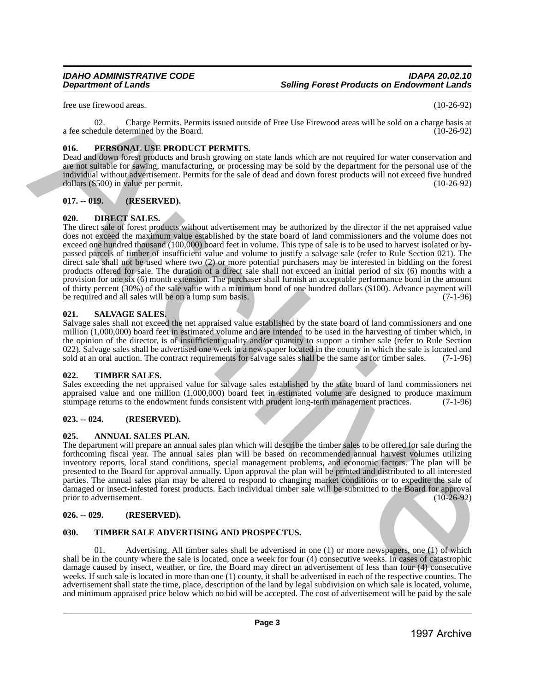free use firewood areas. (10-26-92)

02. Charge Permits. Permits issued outside of Free Use Firewood areas will be sold on a charge basis at a fee schedule determined by the Board. (10-26-92)

# <span id="page-2-0"></span>**016. PERSONAL USE PRODUCT PERMITS.**

Dead and down forest products and brush growing on state lands which are not required for water conservation and are not suitable for sawing, manufacturing, or processing may be sold by the department for the personal use of the individual without advertisement. Permits for the sale of dead and down forest products will not exceed five hundred dollars (\$500) in value per permit. (10-26-92)

# <span id="page-2-1"></span>**017. -- 019. (RESERVED).**

# <span id="page-2-2"></span>**020. DIRECT SALES.**

The direct sale of forest products without advertisement may be authorized by the director if the net appraised value does not exceed the maximum value established by the state board of land commissioners and the volume does not exceed one hundred thousand (100,000) board feet in volume. This type of sale is to be used to harvest isolated or bypassed parcels of timber of insufficient value and volume to justify a salvage sale (refer to Rule Section 021). The direct sale shall not be used where two (2) or more potential purchasers may be interested in bidding on the forest products offered for sale. The duration of a direct sale shall not exceed an initial period of six (6) months with a provision for one six (6) month extension. The purchaser shall furnish an acceptable performance bond in the amount of thirty percent (30%) of the sale value with a minimum bond of one hundred dollars (\$100). Advance payment will be required and all sales will be on a lump sum basis. the vector distinction of the based of the control of Fitch is a strong the state of the state of the state of the state of the state of the state of the state of the state of the state of the state of the state of the st

# <span id="page-2-3"></span>**021. SALVAGE SALES.**

Salvage sales shall not exceed the net appraised value established by the state board of land commissioners and one million (1,000,000) board feet in estimated volume and are intended to be used in the harvesting of timber which, in the opinion of the director, is of insufficient quality and/or quantity to support a timber sale (refer to Rule Section 022). Salvage sales shall be advertised one week in a newspaper located in the county in which the sale is located and sold at an oral auction. The contract requirements for salvage sales shall be the same as for timber sales. (7-1-96)

# <span id="page-2-4"></span>**022. TIMBER SALES.**

Sales exceeding the net appraised value for salvage sales established by the state board of land commissioners net appraised value and one million  $(1,000,000)$  board feet in estimated volume are designed to produce maximum stumpage returns to the endowment funds consistent with prudent long-term management practices.  $(7-1-96)$ stumpage returns to the endowment funds consistent with prudent long-term management practices.

# <span id="page-2-5"></span>**023. -- 024. (RESERVED).**

# <span id="page-2-6"></span>**025. ANNUAL SALES PLAN.**

The department will prepare an annual sales plan which will describe the timber sales to be offered for sale during the forthcoming fiscal year. The annual sales plan will be based on recommended annual harvest volumes utilizing inventory reports, local stand conditions, special management problems, and economic factors. The plan will be presented to the Board for approval annually. Upon approval the plan will be printed and distributed to all interested parties. The annual sales plan may be altered to respond to changing market conditions or to expedite the sale of damaged or insect-infested forest products. Each individual timber sale will be submitted to the Board for approval prior to advertisement.

# <span id="page-2-7"></span>**026. -- 029. (RESERVED).**

# <span id="page-2-8"></span>**030. TIMBER SALE ADVERTISING AND PROSPECTUS.**

01. Advertising. All timber sales shall be advertised in one (1) or more newspapers, one (1) of which shall be in the county where the sale is located, once a week for four (4) consecutive weeks. In cases of catastrophic damage caused by insect, weather, or fire, the Board may direct an advertisement of less than four (4) consecutive weeks. If such sale is located in more than one (1) county, it shall be advertised in each of the respective counties. The advertisement shall state the time, place, description of the land by legal subdivision on which sale is located, volume, and minimum appraised price below which no bid will be accepted. The cost of advertisement will be paid by the sale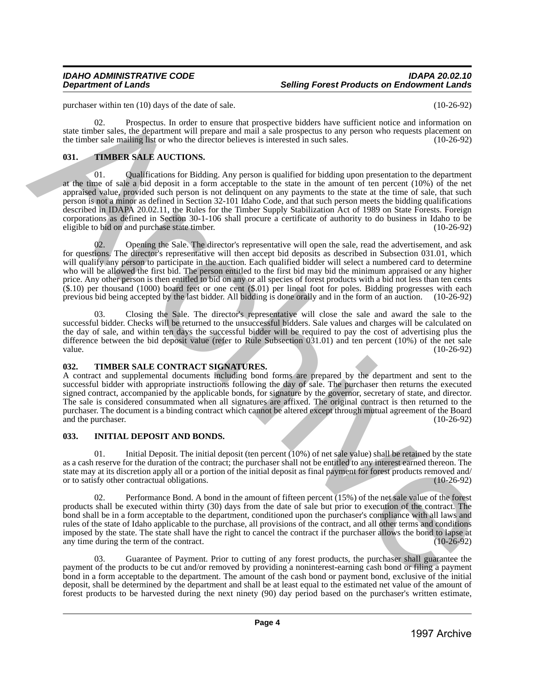purchaser within ten (10) days of the date of sale. (10-26-92)

02. Prospectus. In order to ensure that prospective bidders have sufficient notice and information on state timber sales, the department will prepare and mail a sale prospectus to any person who requests placement on the timber sale mailing list or who the director believes is interested in such sales. (10-26-92) the timber sale mailing list or who the director believes is interested in such sales.

# <span id="page-3-0"></span>**031. TIMBER SALE AUCTIONS.**

01. Qualifications for Bidding. Any person is qualified for bidding upon presentation to the department at the time of sale a bid deposit in a form acceptable to the state in the amount of ten percent (10%) of the net appraised value, provided such person is not delinquent on any payments to the state at the time of sale, that such person is not a minor as defined in Section 32-101 Idaho Code, and that such person meets the bidding qualifications described in IDAPA 20.02.11, the Rules for the Timber Supply Stabilization Act of 1989 on State Forests. Foreign corporations as defined in Section 30-1-106 shall procure a certificate of authority to do business in Idaho to be eligible to bid on and purchase state timber. (10-26-92)

02. Opening the Sale. The director's representative will open the sale, read the advertisement, and ask for questions. The director's representative will then accept bid deposits as described in Subsection 031.01, which will qualify any person to participate in the auction. Each qualified bidder will select a numbered card to determine who will be allowed the first bid. The person entitled to the first bid may bid the minimum appraised or any higher price. Any other person is then entitled to bid on any or all species of forest products with a bid not less than ten cents (\$.10) per thousand (1000) board feet or one cent (\$.01) per lineal foot for poles. Bidding progresses with each previous bid being accepted by the last bidder. All bidding is done orally and in the form of an auction. (10-26-92) particular of 10 b) and particular states. The state of the results in the state of the results in the state of the results in the results in the results in the results in the results in the results in the results in the

03. Closing the Sale. The director's representative will close the sale and award the sale to the successful bidder. Checks will be returned to the unsuccessful bidders. Sale values and charges will be calculated on the day of sale, and within ten days the successful bidder will be required to pay the cost of advertising plus the difference between the bid deposit value (refer to Rule Subsection 031.01) and ten percent (10%) of the net sale value. value. (10-26-92) (10-26-92)

# <span id="page-3-1"></span>**032. TIMBER SALE CONTRACT SIGNATURES.**

A contract and supplemental documents including bond forms are prepared by the department and sent to the successful bidder with appropriate instructions following the day of sale. The purchaser then returns the executed signed contract, accompanied by the applicable bonds, for signature by the governor, secretary of state, and director. The sale is considered consummated when all signatures are affixed. The original contract is then returned to the purchaser. The document is a binding contract which cannot be altered except through mutual agreement of the Board and the purchaser.

# <span id="page-3-2"></span>**033. INITIAL DEPOSIT AND BONDS.**

01. Initial Deposit. The initial deposit (ten percent (10%) of net sale value) shall be retained by the state as a cash reserve for the duration of the contract; the purchaser shall not be entitled to any interest earned thereon. The state may at its discretion apply all or a portion of the initial deposit as final payment for forest products removed and/<br>or to satisfy other contractual obligations. (10-26-92) or to satisfy other contractual obligations.

02. Performance Bond. A bond in the amount of fifteen percent (15%) of the net sale value of the forest products shall be executed within thirty (30) days from the date of sale but prior to execution of the contract. The bond shall be in a form acceptable to the department, conditioned upon the purchaser's compliance with all laws and rules of the state of Idaho applicable to the purchase, all provisions of the contract, and all other terms and conditions imposed by the state. The state shall have the right to cancel the contract if the purchaser allows the bond to lapse at any time during the term of the contract. any time during the term of the contract.

03. Guarantee of Payment. Prior to cutting of any forest products, the purchaser shall guarantee the payment of the products to be cut and/or removed by providing a noninterest-earning cash bond or filing a payment bond in a form acceptable to the department. The amount of the cash bond or payment bond, exclusive of the initial deposit, shall be determined by the department and shall be at least equal to the estimated net value of the amount of forest products to be harvested during the next ninety (90) day period based on the purchaser's written estimate,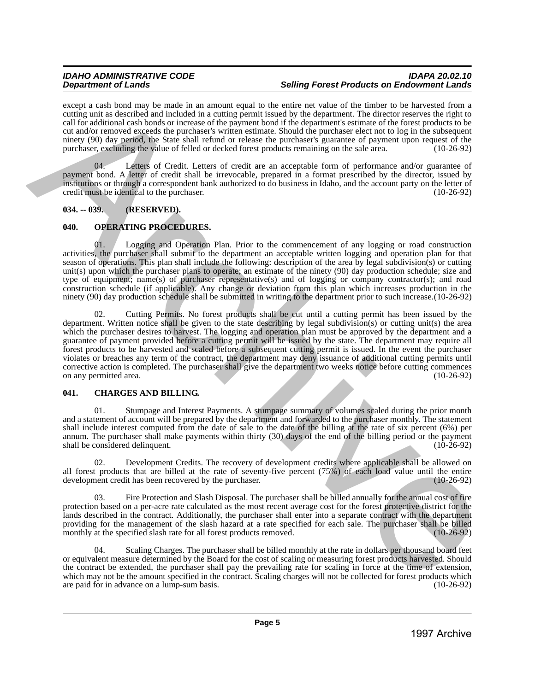# *IDAHO ADMINISTRATIVE CODE IDAPA 20.02.10* **Selling Forest Products on Endowment Lands**

except a cash bond may be made in an amount equal to the entire net value of the timber to be harvested from a cutting unit as described and included in a cutting permit issued by the department. The director reserves the right to call for additional cash bonds or increase of the payment bond if the department's estimate of the forest products to be cut and/or removed exceeds the purchaser's written estimate. Should the purchaser elect not to log in the subsequent ninety (90) day period, the State shall refund or release the purchaser's guarantee of payment upon request of the purchaser, excluding the value of felled or decked forest products remaining on the sale area. (10-26-92)

Letters of Credit. Letters of credit are an acceptable form of performance and/or guarantee of payment bond. A letter of credit shall be irrevocable, prepared in a format prescribed by the director, issued by institutions or through a correspondent bank authorized to do business in Idaho, and the account party on the letter of credit must be identical to the purchaser. (10-26-92)

# <span id="page-4-0"></span>**034. -- 039. (RESERVED).**

# <span id="page-4-1"></span>**040. OPERATING PROCEDURES.**

01. Logging and Operation Plan. Prior to the commencement of any logging or road construction activities, the purchaser shall submit to the department an acceptable written logging and operation plan for that season of operations. This plan shall include the following: description of the area by legal subdivision(s) or cutting unit(s) upon which the purchaser plans to operate; an estimate of the ninety (90) day production schedule; size and type of equipment; name(s) of purchaser representative(s) and of logging or company contractor(s); and road construction schedule (if applicable). Any change or deviation from this plan which increases production in the ninety (90) day production schedule shall be submitted in writing to the department prior to such increase.(10-26-92)

02. Cutting Permits. No forest products shall be cut until a cutting permit has been issued by the department. Written notice shall be given to the state describing by legal subdivision(s) or cutting unit(s) the area which the purchaser desires to harvest. The logging and operation plan must be approved by the department and a guarantee of payment provided before a cutting permit will be issued by the state. The department may require all forest products to be harvested and scaled before a subsequent cutting permit is issued. In the event the purchaser violates or breaches any term of the contract, the department may deny issuance of additional cutting permits until corrective action is completed. The purchaser shall give the department two weeks notice before cutting commences on any permitted area. (10-26-92) on any permitted area. tood a constraint in the main state in a measure of the constraint of the higher to be been able to the constraint of the constraint of the main state in the main state in the main state in the main state in the main stat

# <span id="page-4-2"></span>**041. CHARGES AND BILLING.**

01. Stumpage and Interest Payments. A stumpage summary of volumes scaled during the prior month and a statement of account will be prepared by the department and forwarded to the purchaser monthly. The statement shall include interest computed from the date of sale to the date of the billing at the rate of six percent (6%) per annum. The purchaser shall make payments within thirty (30) days of the end of the billing period or the payment shall be considered delinquent.

02. Development Credits. The recovery of development credits where applicable shall be allowed on all forest products that are billed at the rate of seventy-five percent (75%) of each load value until the entire development credit has been recovered by the purchaser. (10-26-92) development credit has been recovered by the purchaser.

03. Fire Protection and Slash Disposal. The purchaser shall be billed annually for the annual cost of fire protection based on a per-acre rate calculated as the most recent average cost for the forest protective district for the lands described in the contract. Additionally, the purchaser shall enter into a separate contract with the department providing for the management of the slash hazard at a rate specified for each sale. The purchaser shall be billed monthly at the specified slash rate for all forest products removed. monthly at the specified slash rate for all forest products removed.

Scaling Charges. The purchaser shall be billed monthly at the rate in dollars per thousand board feet or equivalent measure determined by the Board for the cost of scaling or measuring forest products harvested. Should the contract be extended, the purchaser shall pay the prevailing rate for scaling in force at the time of extension, which may not be the amount specified in the contract. Scaling charges will not be collected for forest products which are paid for in advance on a lump-sum basis. (10-26-92) are paid for in advance on a lump-sum basis.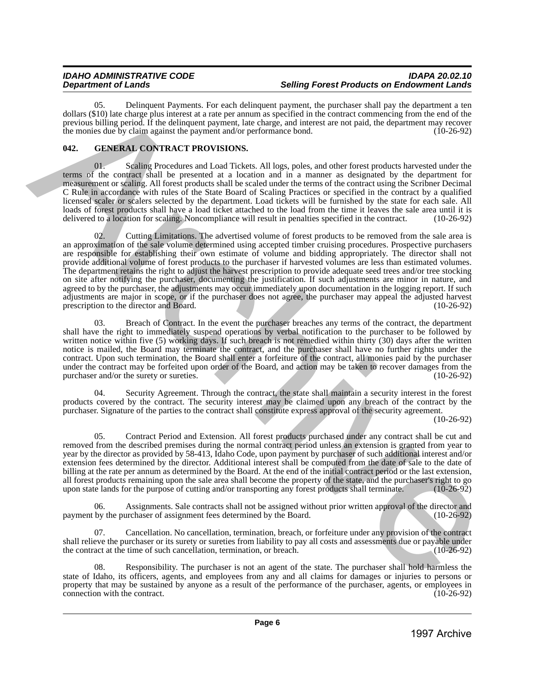05. Delinquent Payments. For each delinquent payment, the purchaser shall pay the department a ten dollars (\$10) late charge plus interest at a rate per annum as specified in the contract commencing from the end of the previous billing period. If the delinquent payment, late charge, and interest are not paid, the department may recover<br>the monies due by claim against the payment and/or performance bond. (10-26-92) the monies due by claim against the payment and/or performance bond.

# <span id="page-5-0"></span>**042. GENERAL CONTRACT PROVISIONS.**

01. Scaling Procedures and Load Tickets. All logs, poles, and other forest products harvested under the terms of the contract shall be presented at a location and in a manner as designated by the department for measurement or scaling. All forest products shall be scaled under the terms of the contract using the Scribner Decimal C Rule in accordance with rules of the State Board of Scaling Practices or specified in the contract by a qualified licensed scaler or scalers selected by the department. Load tickets will be furnished by the state for each sale. All loads of forest products shall have a load ticket attached to the load from the time it leaves the sale area until it is delivered to a location for scaling. Noncompliance will result in penalties specified in the contract delivered to a location for scaling. Noncompliance will result in penalties specified in the contract.

02. Cutting Limitations. The advertised volume of forest products to be removed from the sale area is an approximation of the sale volume determined using accepted timber cruising procedures. Prospective purchasers are responsible for establishing their own estimate of volume and bidding appropriately. The director shall not provide additional volume of forest products to the purchaser if harvested volumes are less than estimated volumes. The department retains the right to adjust the harvest prescription to provide adequate seed trees and/or tree stocking on site after notifying the purchaser, documenting the justification. If such adjustments are minor in nature, and agreed to by the purchaser, the adjustments may occur immediately upon documentation in the logging report. If such adjustments are major in scope, or if the purchaser does not agree, the purchaser may appeal the adjusted harvest<br>prescription to the director and Board. (10-26-92) prescription to the director and Board. 600 m. O. S. Encore and the state of the state of the state of the particle in the state of the state of the state of the state of the state of the state of the state of the state of the state of the state of the state of

03. Breach of Contract. In the event the purchaser breaches any terms of the contract, the department shall have the right to immediately suspend operations by verbal notification to the purchaser to be followed by written notice within five (5) working days. If such breach is not remedied within thirty (30) days after the written notice is mailed, the Board may terminate the contract, and the purchaser shall have no further rights under the contract. Upon such termination, the Board shall enter a forfeiture of the contract, all monies paid by the purchaser under the contract may be forfeited upon order of the Board, and action may be taken to recover damages from the purchaser and/or the surety or sureties. (10-26-92) purchaser and/or the surety or sureties.

04. Security Agreement. Through the contract, the state shall maintain a security interest in the forest products covered by the contract. The security interest may be claimed upon any breach of the contract by the purchaser. Signature of the parties to the contract shall constitute express approval of the security agreement.

(10-26-92)

05. Contract Period and Extension. All forest products purchased under any contract shall be cut and removed from the described premises during the normal contract period unless an extension is granted from year to year by the director as provided by 58-413, Idaho Code, upon payment by purchaser of such additional interest and/or extension fees determined by the director. Additional interest shall be computed from the date of sale to the date of billing at the rate per annum as determined by the Board. At the end of the initial contract period or the last extension, all forest products remaining upon the sale area shall become the property of the state, and the purchaser's right to go<br>upon state lands for the purpose of cutting and/or transporting any forest products shall terminate. upon state lands for the purpose of cutting and/or transporting any forest products shall terminate.

06. Assignments. Sale contracts shall not be assigned without prior written approval of the director and payment by the purchaser of assignment fees determined by the Board. (10-26-92)

07. Cancellation. No cancellation, termination, breach, or forfeiture under any provision of the contract shall relieve the purchaser or its surety or sureties from liability to pay all costs and assessments due or payable under the contract at the time of such cancellation, termination, or breach. (10-26-92)

Responsibility. The purchaser is not an agent of the state. The purchaser shall hold harmless the state of Idaho, its officers, agents, and employees from any and all claims for damages or injuries to persons or property that may be sustained by anyone as a result of the performance of the purchaser, agents, or employees in connection with the contract. (10-26-92) connection with the contract.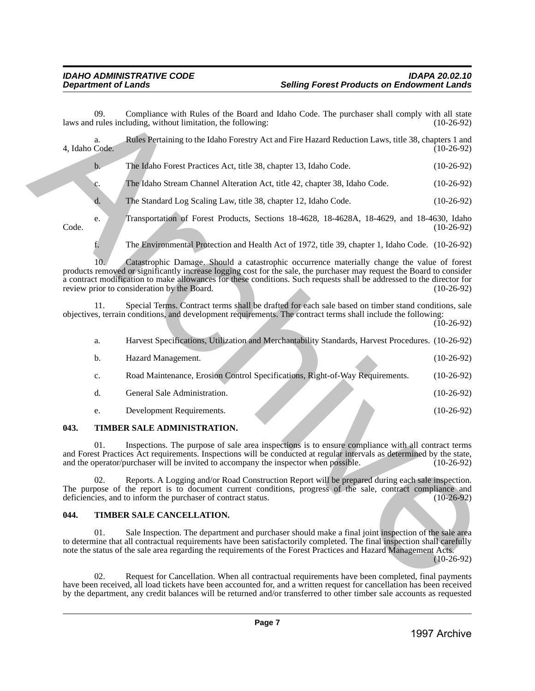|                | 02. | Request for Cancellation. When all contractual requirements have been completed, final payments<br>have been received, all load tickets have been accounted for, and a written request for cancellation has been received<br>by the department, any credit balances will be returned and/or transferred to other timber sale accounts as requested                                           |              |
|----------------|-----|----------------------------------------------------------------------------------------------------------------------------------------------------------------------------------------------------------------------------------------------------------------------------------------------------------------------------------------------------------------------------------------------|--------------|
|                | 01. | Sale Inspection. The department and purchaser should make a final joint inspection of the sale area<br>to determine that all contractual requirements have been satisfactorily completed. The final inspection shall carefully<br>note the status of the sale area regarding the requirements of the Forest Practices and Hazard Management Acts.                                            | $(10-26-92)$ |
| 044.           |     | TIMBER SALE CANCELLATION.                                                                                                                                                                                                                                                                                                                                                                    |              |
|                | 02. | Reports. A Logging and/or Road Construction Report will be prepared during each sale inspection.<br>The purpose of the report is to document current conditions, progress of the sale, contract compliance and<br>deficiencies, and to inform the purchaser of contract status.                                                                                                              | $(10-26-92)$ |
|                | 01. | Inspections. The purpose of sale area inspections is to ensure compliance with all contract terms<br>and Forest Practices Act requirements. Inspections will be conducted at regular intervals as determined by the state,<br>and the operator/purchaser will be invited to accompany the inspector when possible.                                                                           | $(10-26-92)$ |
| 043.           |     | TIMBER SALE ADMINISTRATION.                                                                                                                                                                                                                                                                                                                                                                  |              |
|                | e.  | Development Requirements.                                                                                                                                                                                                                                                                                                                                                                    | $(10-26-92)$ |
|                | d.  | General Sale Administration.                                                                                                                                                                                                                                                                                                                                                                 | $(10-26-92)$ |
|                | c.  | Road Maintenance, Erosion Control Specifications, Right-of-Way Requirements.                                                                                                                                                                                                                                                                                                                 | $(10-26-92)$ |
|                | b.  | Hazard Management.                                                                                                                                                                                                                                                                                                                                                                           | $(10-26-92)$ |
|                | a.  | Harvest Specifications, Utilization and Merchantability Standards, Harvest Procedures. (10-26-92)                                                                                                                                                                                                                                                                                            |              |
|                | 11. | Special Terms. Contract terms shall be drafted for each sale based on timber stand conditions, sale<br>objectives, terrain conditions, and development requirements. The contract terms shall include the following:                                                                                                                                                                         | $(10-26-92)$ |
|                | 10. | Catastrophic Damage. Should a catastrophic occurrence materially change the value of forest<br>products removed or significantly increase logging cost for the sale, the purchaser may request the Board to consider<br>a contract modification to make allowances for these conditions. Such requests shall be addressed to the director for<br>review prior to consideration by the Board. | $(10-26-92)$ |
|                | f.  | The Environmental Protection and Health Act of 1972, title 39, chapter 1, Idaho Code. (10-26-92)                                                                                                                                                                                                                                                                                             |              |
| Code.          | e.  | Transportation of Forest Products, Sections 18-4628, 18-4628A, 18-4629, and 18-4630, Idaho                                                                                                                                                                                                                                                                                                   | $(10-26-92)$ |
|                | d.  | The Standard Log Scaling Law, title 38, chapter 12, Idaho Code.                                                                                                                                                                                                                                                                                                                              | $(10-26-92)$ |
|                | c.  | The Idaho Stream Channel Alteration Act, title 42, chapter 38, Idaho Code.                                                                                                                                                                                                                                                                                                                   | $(10-26-92)$ |
|                | b.  | The Idaho Forest Practices Act, title 38, chapter 13, Idaho Code.                                                                                                                                                                                                                                                                                                                            | $(10-26-92)$ |
| 4, Idaho Code. |     |                                                                                                                                                                                                                                                                                                                                                                                              | $(10-26-92)$ |
|                | a.  | Rules Pertaining to the Idaho Forestry Act and Fire Hazard Reduction Laws, title 38, chapters 1 and                                                                                                                                                                                                                                                                                          |              |

| a. | Harvest Specifications, Utilization and Merchantability Standards, Harvest Procedures. (10-26-92) |              |
|----|---------------------------------------------------------------------------------------------------|--------------|
| b. | Hazard Management.                                                                                | $(10-26-92)$ |
| c. | Road Maintenance, Erosion Control Specifications, Right-of-Way Requirements.                      | $(10-26-92)$ |
| d. | General Sale Administration.                                                                      | $(10-26-92)$ |
| e. | Development Requirements.                                                                         | $(10-26-92)$ |
|    |                                                                                                   |              |

# <span id="page-6-0"></span>**043. TIMBER SALE ADMINISTRATION.**

# <span id="page-6-1"></span>**044. TIMBER SALE CANCELLATION.**